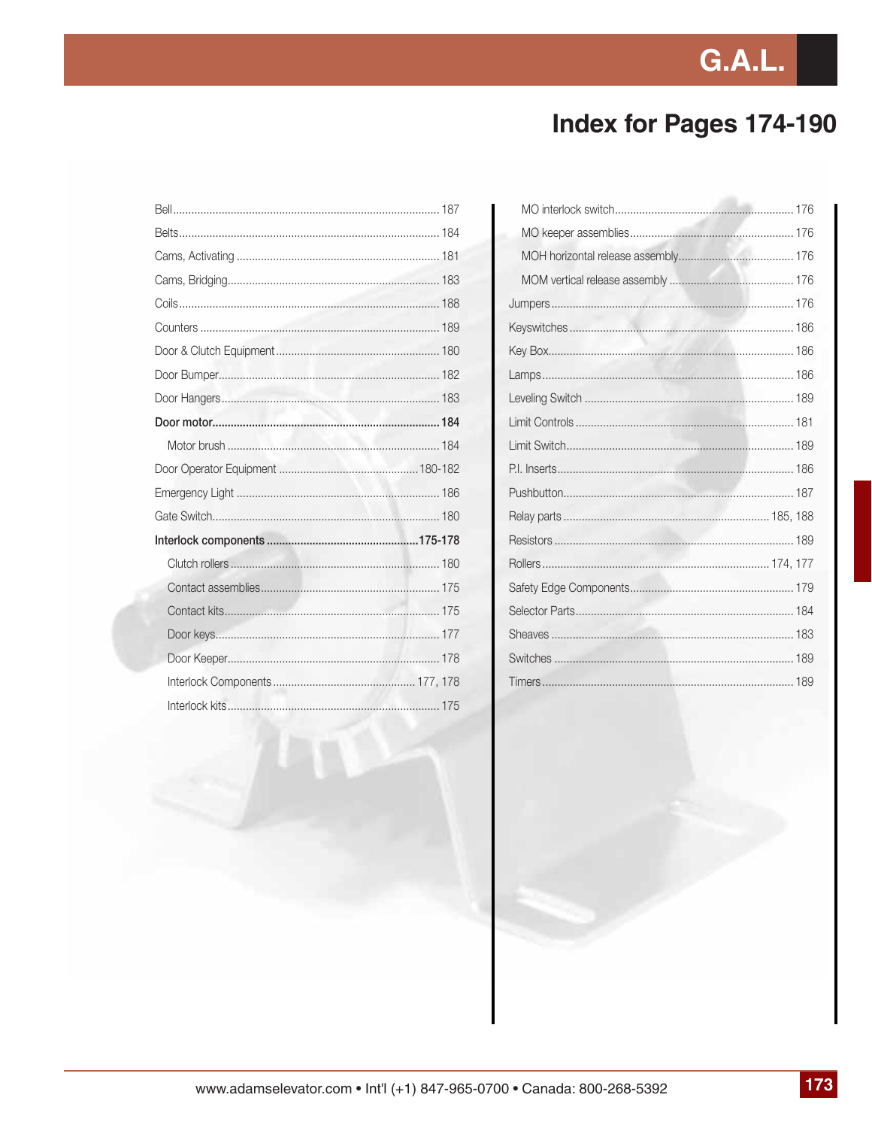# **G.A.L.**

### **Index for Pages 174-190**

| Interlock kits that the state of the state of the state of the state of the state of the state of the state of the state of the state of the state of the state of the state of the state of the state of the state of the sta |  |
|--------------------------------------------------------------------------------------------------------------------------------------------------------------------------------------------------------------------------------|--|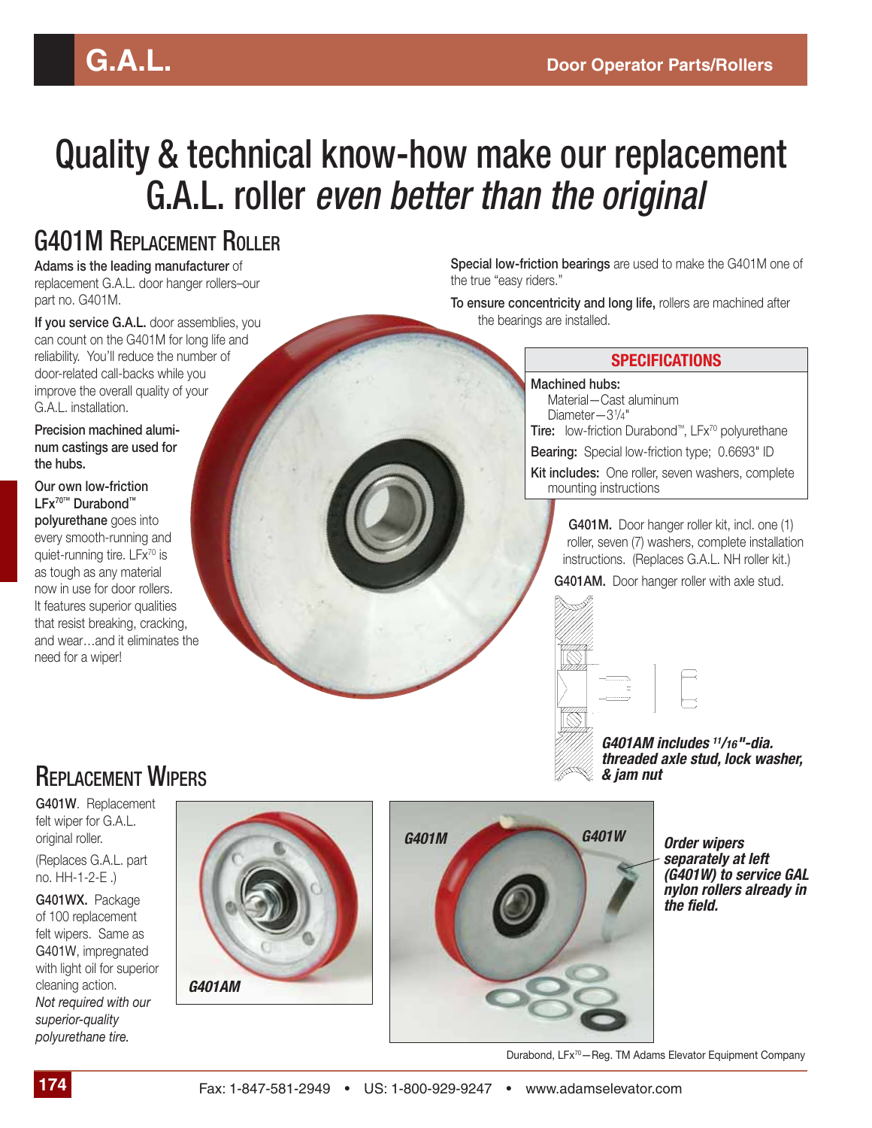# Quality & technical know-how make our replacement G.A.L. roller *even better than the original*

#### G401M REPLACEMENT ROLLER

**Adams is the leading manufacturer** of replacement G.A.L. door hanger rollers–our part no. G401M.

**If you service G.A.L.** door assemblies, you can count on the G401M for long life and reliability. You'll reduce the number of door-related call-backs while you improve the overall quality of your G.A.L. installation.

**Precision machined aluminum castings are used for the hubs.**

**Our own low-friction LFx70™ Durabond™ polyurethane** goes into every smooth-running and quiet-running tire. LFx<sup>70</sup> is as tough as any material now in use for door rollers. It features superior qualities that resist breaking, cracking, and wear…and it eliminates the need for a wiper!

**Special low-friction bearings** are used to make the G401M one of the true "easy riders."

**To ensure concentricity and long life,** rollers are machined after the bearings are installed.

#### **SPECIFICATIONS**

#### **Machined hubs:**

Material—Cast aluminum Diameter—31 /4" **Tire:** low-friction Durabond™, LFx70 polyurethane

**Bearing:** Special low-friction type; 0.6693" ID **Kit includes:** One roller, seven washers, complete

mounting instructions

**G401M.** Door hanger roller kit, incl. one (1) roller, seven (7) washers, complete installation instructions. (Replaces G.A.L. NH roller kit.)

**G401AM.** Door hanger roller with axle stud.



*G401AM includes 11/16"-dia. threaded axle stud, lock washer, & jam nut*

#### **REPLACEMENT WIPERS**

**G401W**. Replacement felt wiper for G.A.L. original roller.

(Replaces G.A.L. part no. HH-1-2-E .)

**G401WX.** Package of 100 replacement felt wipers. Same as G401W, impregnated with light oil for superior cleaning action. *Not required with our superior-quality polyurethane tire.* 





*separately at left (G401W) to service GAL nylon rollers already in the field.* 

Durabond, LFx<sup>70</sup>-Reg. TM Adams Elevator Equipment Company

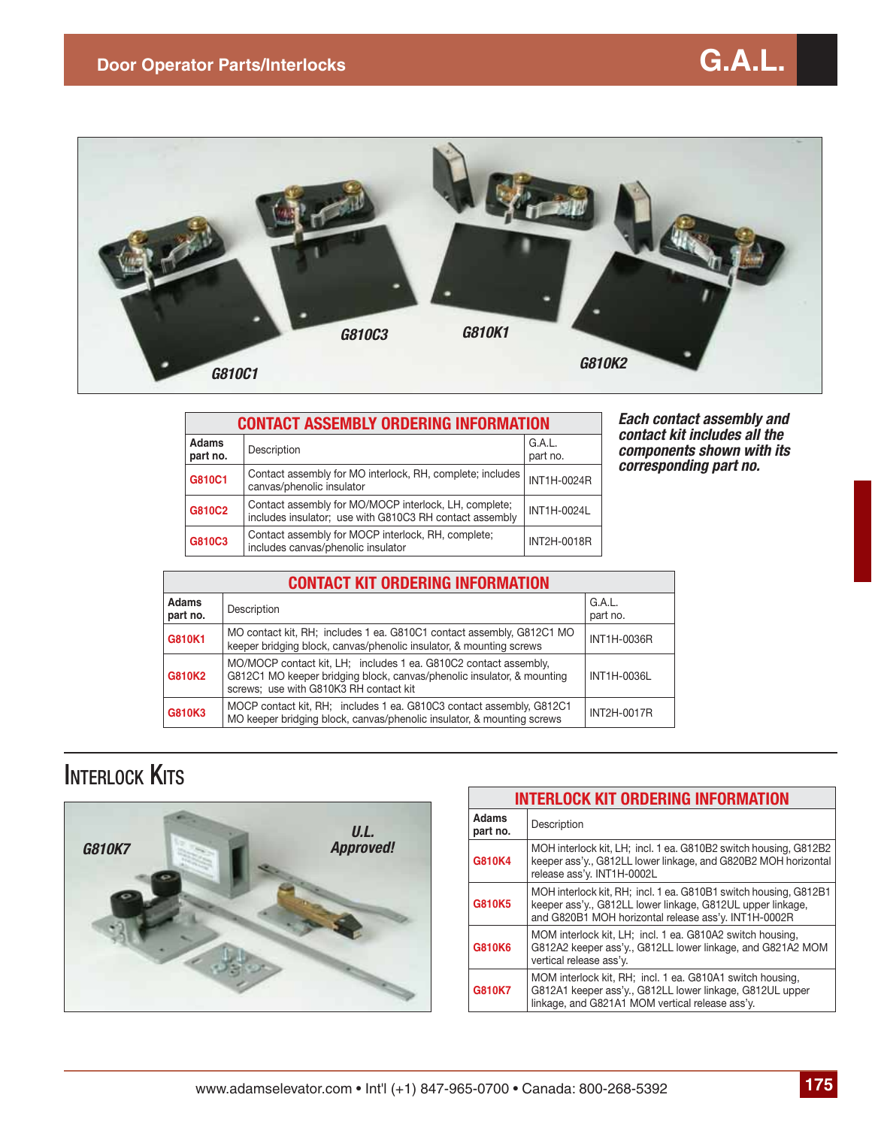

| <b>CONTACT ASSEMBLY ORDERING INFORMATION</b> |                                                                                                                  |                    |  |  |
|----------------------------------------------|------------------------------------------------------------------------------------------------------------------|--------------------|--|--|
| <b>Adams</b><br>part no.                     | Description                                                                                                      | G.A.L.<br>part no. |  |  |
| G810C1                                       | Contact assembly for MO interlock, RH, complete; includes<br>canvas/phenolic insulator                           | INT1H-0024R        |  |  |
| G810C2                                       | Contact assembly for MO/MOCP interlock, LH, complete;<br>includes insulator; use with G810C3 RH contact assembly | <b>INT1H-0024L</b> |  |  |
| G810C3                                       | Contact assembly for MOCP interlock, RH, complete;<br>includes canvas/phenolic insulator                         | INT2H-0018R        |  |  |

*Each contact assembly and contact kit includes all the components shown with its corresponding part no.*

| <b>CONTACT KIT ORDERING INFORMATION</b> |                                                                                                                                                                                      |                    |  |
|-----------------------------------------|--------------------------------------------------------------------------------------------------------------------------------------------------------------------------------------|--------------------|--|
| <b>Adams</b><br>part no.                | Description                                                                                                                                                                          | G.A.L.<br>part no. |  |
| G810K1                                  | MO contact kit, RH; includes 1 ea. G810C1 contact assembly, G812C1 MO<br>keeper bridging block, canvas/phenolic insulator, & mounting screws                                         | <b>INT1H-0036R</b> |  |
| G810K2                                  | MO/MOCP contact kit, LH; includes 1 ea. G810C2 contact assembly,<br>G812C1 MO keeper bridging block, canvas/phenolic insulator, & mounting<br>screws; use with G810K3 RH contact kit | INT1H-0036L        |  |
| G810K3                                  | MOCP contact kit, RH; includes 1 ea. G810C3 contact assembly, G812C1<br>MO keeper bridging block, canvas/phenolic insulator, & mounting screws                                       | <b>INT2H-0017R</b> |  |

#### **INTERLOCK KITS**



| <b>INTERLOCK KIT ORDERING INFORMATION</b> |                                                                                                                                                                                        |  |  |
|-------------------------------------------|----------------------------------------------------------------------------------------------------------------------------------------------------------------------------------------|--|--|
| <b>Adams</b><br>part no.                  | Description                                                                                                                                                                            |  |  |
| G810K4                                    | MOH interlock kit, LH; incl. 1 ea. G810B2 switch housing, G812B2<br>keeper ass'y., G812LL lower linkage, and G820B2 MOH horizontal<br>release ass'y. INT1H-0002L                       |  |  |
| G810K5                                    | MOH interlock kit, RH; incl. 1 ea. G810B1 switch housing, G812B1<br>keeper ass'y., G812LL lower linkage, G812UL upper linkage,<br>and G820B1 MOH horizontal release ass'y. INT1H-0002R |  |  |
| G810K6                                    | MOM interlock kit, LH; incl. 1 ea. G810A2 switch housing,<br>G812A2 keeper ass'y., G812LL lower linkage, and G821A2 MOM<br>vertical release ass'y.                                     |  |  |
| G810K7                                    | MOM interlock kit, RH; incl. 1 ea. G810A1 switch housing,<br>G812A1 keeper ass'y., G812LL lower linkage, G812UL upper<br>linkage, and G821A1 MOM vertical release ass'y.               |  |  |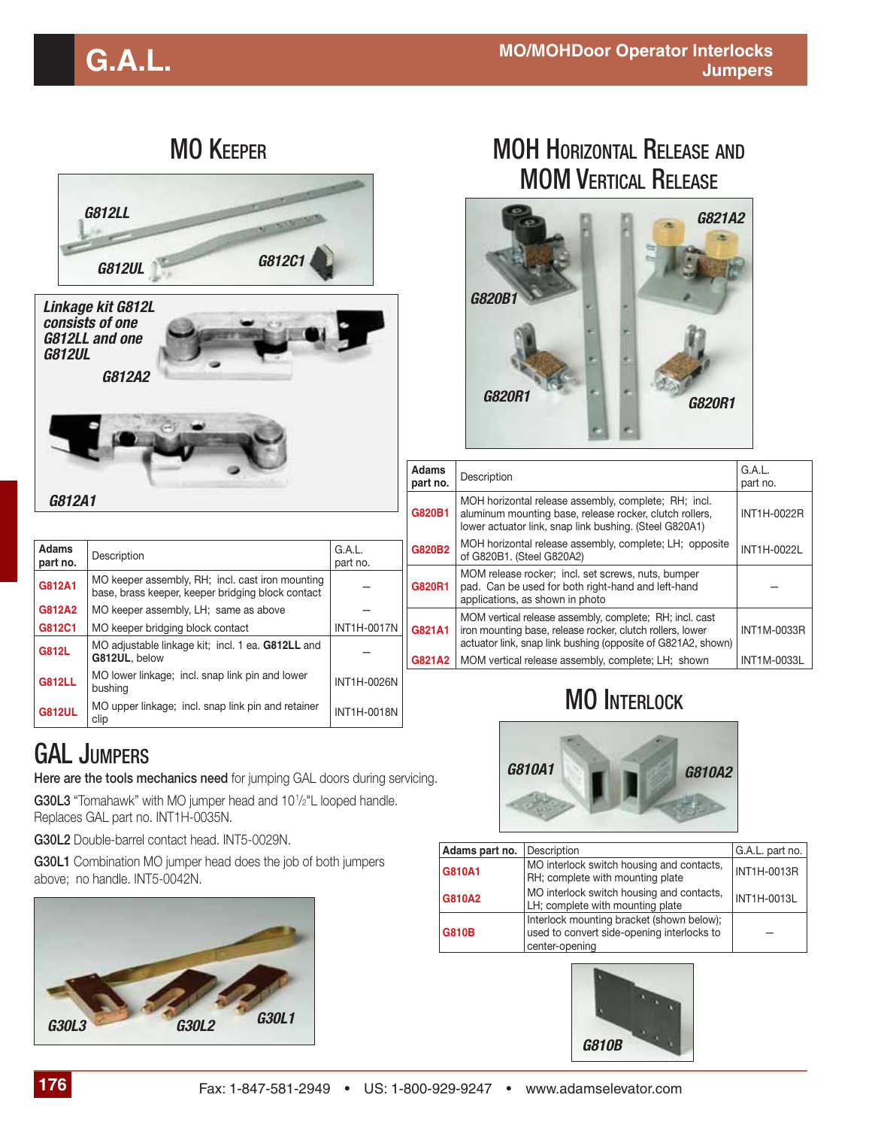| <b>MO KEEPER</b>         |                                                                                                                                                                                              | <b>MOH HORIZONTAL RELEASE AND</b><br><b>MOM VERTICAL RELEASE</b> |                                                                                                                                                       |                      |                                                                                                                                                                           |                    |
|--------------------------|----------------------------------------------------------------------------------------------------------------------------------------------------------------------------------------------|------------------------------------------------------------------|-------------------------------------------------------------------------------------------------------------------------------------------------------|----------------------|---------------------------------------------------------------------------------------------------------------------------------------------------------------------------|--------------------|
|                          | <b>G812LL</b><br>G812C1<br><b>G812UL</b>                                                                                                                                                     |                                                                  |                                                                                                                                                       |                      | G821A2                                                                                                                                                                    |                    |
| <b>G812UL</b>            | Linkage kit G812L<br>consists of one<br><b>G812LL and one</b><br>G812A2                                                                                                                      |                                                                  |                                                                                                                                                       | G820<br><b>G820R</b> | <b>G820R1</b>                                                                                                                                                             |                    |
|                          |                                                                                                                                                                                              |                                                                  | <b>Adams</b><br>part no.                                                                                                                              | Description          |                                                                                                                                                                           | G.A.L.<br>part no. |
| G812A1                   |                                                                                                                                                                                              |                                                                  | G820B1                                                                                                                                                |                      | MOH horizontal release assembly, complete; RH; incl.<br>aluminum mounting base, release rocker, clutch rollers,<br>lower actuator link, snap link bushing. (Steel G820A1) | INT1H-0022R        |
| <b>Adams</b><br>part no. | Description                                                                                                                                                                                  | G.A.L.<br>part no.                                               | MOH horizontal release assembly, complete; LH; opposite<br>G820B2<br>of G820B1. (Steel G820A2)                                                        |                      | INT1H-0022L                                                                                                                                                               |                    |
| G812A1                   | MO keeper assembly, RH; incl. cast iron mounting<br>base, brass keeper, keeper bridging block contact                                                                                        |                                                                  | MOM release rocker; incl. set screws, nuts, bumper<br>G820R1<br>pad. Can be used for both right-hand and left-hand<br>applications, as shown in photo |                      |                                                                                                                                                                           |                    |
| G812A2<br>G812C1         | MO keeper assembly, LH; same as above<br>MO keeper bridging block contact                                                                                                                    | <b>INT1H-0017N</b>                                               | G821A1                                                                                                                                                |                      | MOM vertical release assembly, complete; RH; incl. cast<br>iron mounting base, release rocker, clutch rollers, lower                                                      | INT1M-0033R        |
| <b>G812L</b>             | MO adjustable linkage kit; incl. 1 ea. G812LL and<br>G812UL, below                                                                                                                           |                                                                  | G821A2                                                                                                                                                |                      | actuator link, snap link bushing (opposite of G821A2, shown)<br>MOM vertical release assembly, complete; LH; shown                                                        | INT1M-0033L        |
| <b>G812LL</b>            | MO lower linkage; incl. snap link pin and lower<br>bushing                                                                                                                                   | <b>INT1H-0026N</b>                                               |                                                                                                                                                       |                      |                                                                                                                                                                           |                    |
| <b>G812UL</b>            | MO upper linkage; incl. snap link pin and retainer<br>clip                                                                                                                                   | INT1H-0018N                                                      |                                                                                                                                                       |                      | <b>MO INTERLOCK</b>                                                                                                                                                       |                    |
|                          | <b>GAL JUMPERS</b><br>Here are the tools mechanics need for jumping GAL doors during servicing.<br>G30L3 "Tomahawk" with MO jumper head and 10 <sup>1</sup> / <sub>2</sub> "L looped handle. |                                                                  |                                                                                                                                                       |                      | G810A1<br>G810A2                                                                                                                                                          |                    |
|                          | Replaces GAL part no. INT1H-0035N.                                                                                                                                                           |                                                                  |                                                                                                                                                       |                      |                                                                                                                                                                           |                    |
|                          | G30L2 Double-barrel contact head. INT5-0029N.                                                                                                                                                |                                                                  |                                                                                                                                                       | Adams part no.       | Description                                                                                                                                                               | G.A.L. part no.    |
|                          | G30L1 Combination MO jumper head does the job of both jumpers<br>above; no handle. INT5-0042N.                                                                                               |                                                                  |                                                                                                                                                       | G810A1               | MO interlock switch housing and contacts,<br>RH; complete with mounting plate                                                                                             | INT1H-0013R        |
|                          |                                                                                                                                                                                              |                                                                  |                                                                                                                                                       | G810A2               | MO interlock switch housing and contacts,<br>LH; complete with mounting plate                                                                                             | INT1H-0013L        |



**G810B**

*G810B*

center-opening

Interlock mounting bracket (shown below); used to convert side-opening interlocks to

—

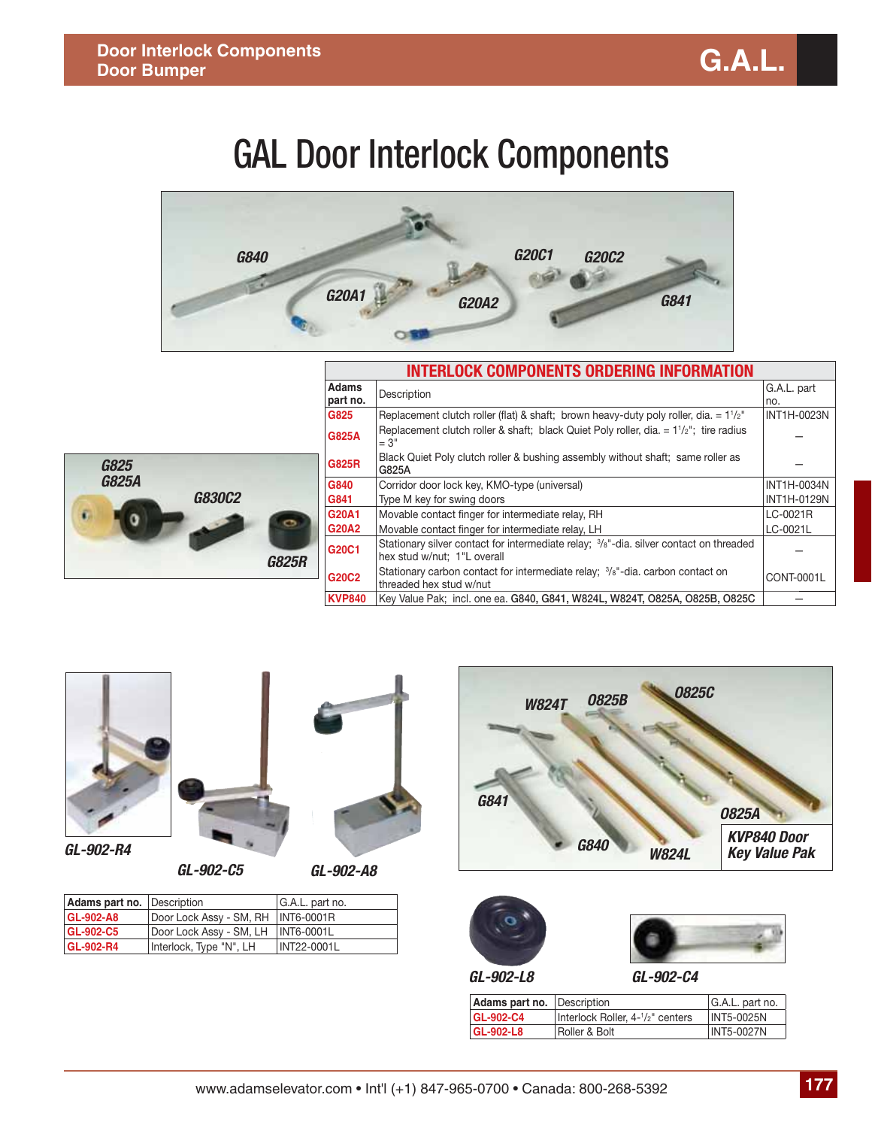# GAL Door Interlock Components





| <b>INTERLOCK COMPONENTS ORDERING INFORMATION</b> |                                                                                                                       |                    |  |
|--------------------------------------------------|-----------------------------------------------------------------------------------------------------------------------|--------------------|--|
| <b>Adams</b><br>part no.                         | Description                                                                                                           | G.A.L. part<br>no. |  |
| G825                                             | Replacement clutch roller (flat) & shaft; brown heavy-duty poly roller, dia. $= 1^{1/2}$ "                            | INT1H-0023N        |  |
| <b>G825A</b>                                     | Replacement clutch roller & shaft; black Quiet Poly roller, dia. $= 11/2$ "; tire radius<br>$= 3"$                    |                    |  |
| <b>G825R</b>                                     | Black Quiet Poly clutch roller & bushing assembly without shaft; same roller as<br>G825A                              |                    |  |
| G840                                             | Corridor door lock key, KMO-type (universal)                                                                          | <b>INT1H-0034N</b> |  |
| G841                                             | Type M key for swing doors                                                                                            | <b>INT1H-0129N</b> |  |
| G20A1                                            | Movable contact finger for intermediate relay, RH                                                                     | LC-0021R           |  |
| <b>G20A2</b>                                     | Movable contact finger for intermediate relay, LH                                                                     | LC-0021L           |  |
| G20C1                                            | Stationary silver contact for intermediate relay; 3/8"-dia. silver contact on threaded<br>hex stud w/nut; 1"L overall |                    |  |
| G20C2                                            | Stationary carbon contact for intermediate relay; $\frac{3}{8}$ -dia. carbon contact on<br>threaded hex stud w/nut    | CONT-0001L         |  |
| <b>KVP840</b>                                    | Key Value Pak; incl. one ea. G840, G841, W824L, W824T, O825A, O825B, O825C                                            |                    |  |



*GL-902-R4*



*GL-902-C5 GL-902-A8*

Adams part no. Description **G.A.L.** part no. **GL-902-A8** Door Lock Assy - SM, RH | INT6-0001R **GL-902-C5** Door Lock Assy - SM, LH NT6-0001L<br>**GL-902-R4** Interlock, Type "N", LH NT22-0001L

**GL-902-R4** Interlock, Type "N", LH







*GL-902-L8*

*GL-902-C4*

| Adams part no. Description |                                  | G.A.L. part no.   |
|----------------------------|----------------------------------|-------------------|
| <b>GL-902-C4</b>           | Interlock Roller, 4-1/2" centers | INT5-0025N        |
| GL-902-L8                  | Roller & Bolt                    | <b>INT5-0027N</b> |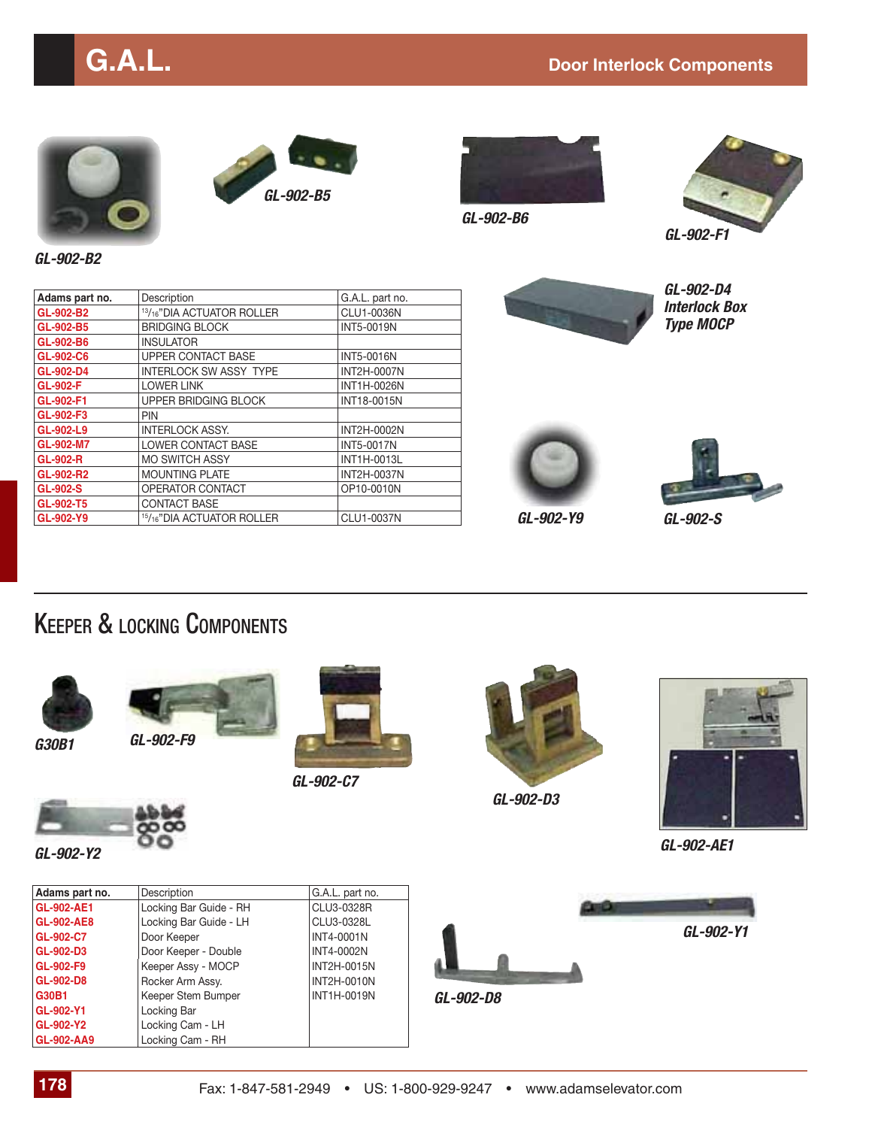

*GL-902-B5*



*GL-902-B6*



*GL-902-B2*

| Adams part no.  | Description                                        | G.A.L. part no.    |
|-----------------|----------------------------------------------------|--------------------|
| GL-902-B2       | <sup>13</sup> / <sub>16</sub> "DIA ACTUATOR ROLLER | CLU1-0036N         |
| GL-902-B5       | <b>BRIDGING BLOCK</b>                              | <b>INT5-0019N</b>  |
| GL-902-B6       | <b>INSULATOR</b>                                   |                    |
| GL-902-C6       | <b>UPPER CONTACT BASE</b>                          | <b>INT5-0016N</b>  |
| GL-902-D4       | INTERLOCK SW ASSY TYPE                             | <b>INT2H-0007N</b> |
| <b>GL-902-F</b> | <b>LOWER LINK</b>                                  | <b>INT1H-0026N</b> |
| GL-902-F1       | UPPER BRIDGING BLOCK                               | <b>INT18-0015N</b> |
| GL-902-F3       | PIN                                                |                    |
| GL-902-L9       | <b>INTERLOCK ASSY.</b>                             | INT2H-0002N        |
| GL-902-M7       | <b>LOWER CONTACT BASE</b>                          | <b>INT5-0017N</b>  |
| <b>GL-902-R</b> | <b>MO SWITCH ASSY</b>                              | INT1H-0013L        |
| GL-902-R2       | <b>MOUNTING PLATE</b>                              | <b>INT2H-0037N</b> |
| GL-902-S        | OPERATOR CONTACT                                   | OP10-0010N         |
| GL-902-T5       | <b>CONTACT BASE</b>                                |                    |
| GL-902-Y9       | <sup>15</sup> / <sub>16</sub> "DIA ACTUATOR ROLLER | CLU1-0037N         |



*GL-902-D4 Interlock Box Type MOCP*



*GL-902-Y9*



*GL-902-S*

#### KEEPER & LOCKING COMPONENTS



*G30B1*

*GL-902-Y2*

*GL-902-F9*



*GL-902-C7*



*GL-902-AE1*

*GL-902-Y1*

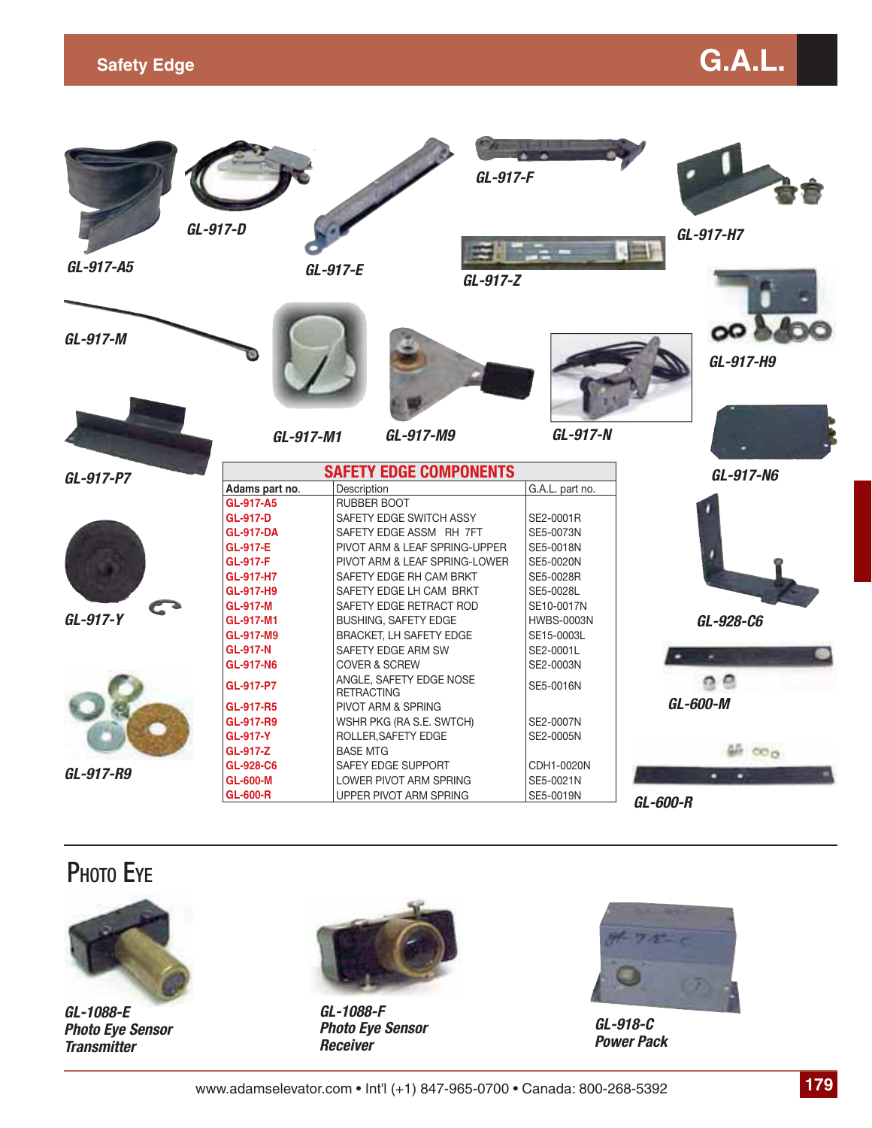### **Safety Edge** G.A.L. **Contract Contract Contract Contract Contract Contract Contract Contract Contract Contract Contract Contract Contract Contract Contract Contract Contract Contract Contract Contract Contract Contract Co**



#### **PHOTO EYF**



*GL-1088-E Photo Eye Sensor Transmitter*



*GL-1088-F Photo Eye Sensor Receiver*



*GL-918-C Power Pack*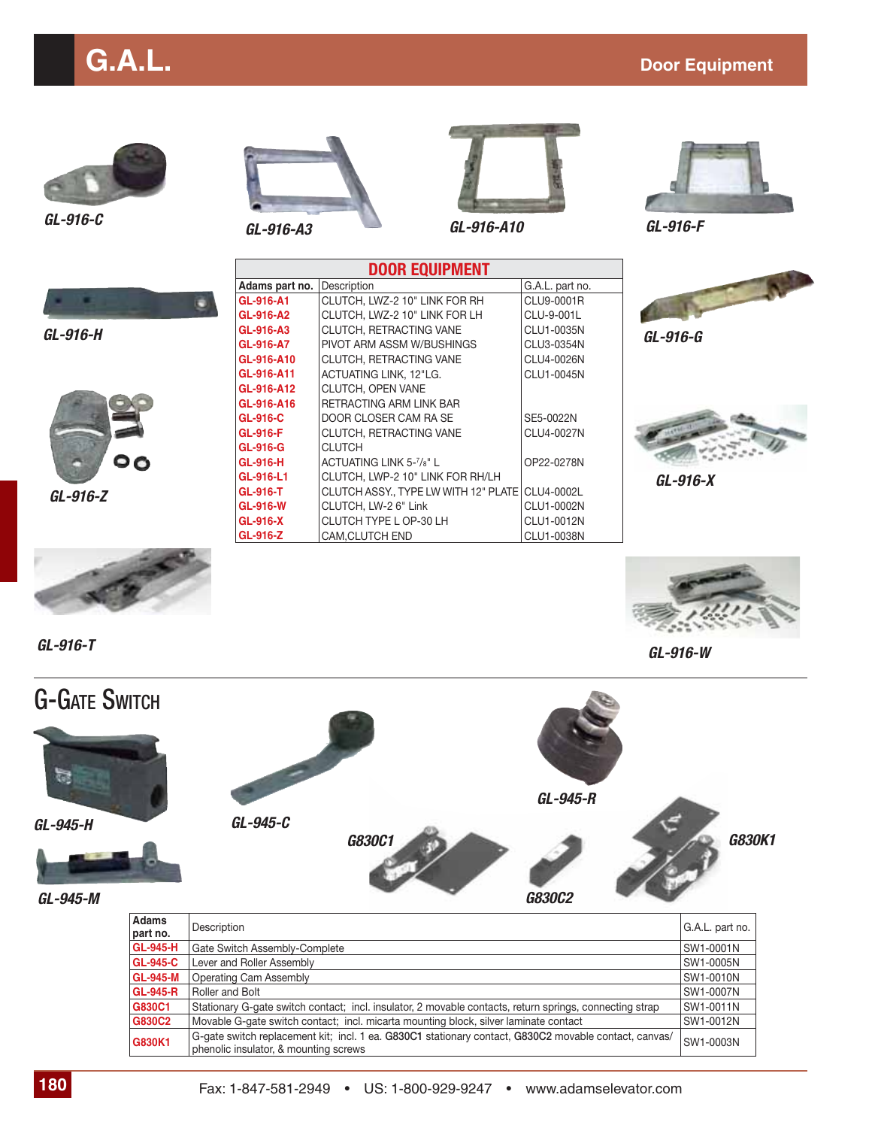## **G.A.L.** Door Equipment



*GL-916-H*





OP22-0278N

**DOOR EQUIPMENT** Adams part no. Description G.A.L. part no. **GL-916-A1** CLUTCH, LWZ-2 10" LINK FOR RH CLU9-0001R **GL-916-A2** CLUTCH, LWZ-2 10" LINK FOR LH CLU-9-001L **GL-916-A3** CLUTCH, RETRACTING VANE CLU1-0035N **GL-916-A7** PIVOT ARM ASSM W/BUSHINGS CLU3-0354N<br>
CL-916-A10 CLUTCH, RETRACTING VANE CLU4-0026N

**GL-916-A11** ACTUATING LINK, 12"LG. CLU1-0045N

**GL-916-T** CLUTCH ASSY., TYPE LW WITH 12" PLATE CLU4-0002L **GL-916-W** CLUTCH, LW-2 6" Link CLU1-0002N **GL-916-X** CLUTCH TYPE L OP-30 LH CLU1-0012N<br> **GL-916-Z** CAM,CLUTCH END CLU1-0038N

**RETRACTING ARM LINK BAR GL-916-C** DOOR CLOSER CAM RA SE SE5-0022N **GL-916-F** CLUTCH, RETRACTING VANE CLU4-0027N

**GL-916-A10** CLUTCH, RETRACTING VANE

**GL-916-A12** CLUTCH, OPEN VANE<br>**GL-916-A16** RETRACTING ARM LIN

**GL-916-H** | ACTUATING LINK 5-7/8" L

**GL-916-L1** CLUTCH, LWP-2 10" LINK FOR RH/LH

CAM,CLUTCH END

**GL-916-G** CLUTCH





*GL-916-G*



*GL-916-X*



*GL-916-T GL-916-W*

*GL-916-Z*

ం



| Adams           | Description                                                                                                                                    | G.A.L. part no.  |
|-----------------|------------------------------------------------------------------------------------------------------------------------------------------------|------------------|
| part no.        |                                                                                                                                                |                  |
| <b>GL-945-H</b> | Gate Switch Assembly-Complete                                                                                                                  | SW1-0001N        |
| <b>GL-945-C</b> | Lever and Roller Assembly                                                                                                                      | SW1-0005N        |
| <b>GL-945-M</b> | Operating Cam Assembly                                                                                                                         | <b>SW1-0010N</b> |
| <b>GL-945-R</b> | Roller and Bolt                                                                                                                                | SW1-0007N        |
| G830C1          | Stationary G-gate switch contact; incl. insulator, 2 movable contacts, return springs, connecting strap                                        | SW1-0011N        |
| G830C2          | Movable G-gate switch contact; incl. micarta mounting block, silver laminate contact                                                           | SW1-0012N        |
| G830K1          | G-gate switch replacement kit; incl. 1 ea. G830C1 stationary contact, G830C2 movable contact, canvas/<br>phenolic insulator, & mounting screws | SW1-0003N        |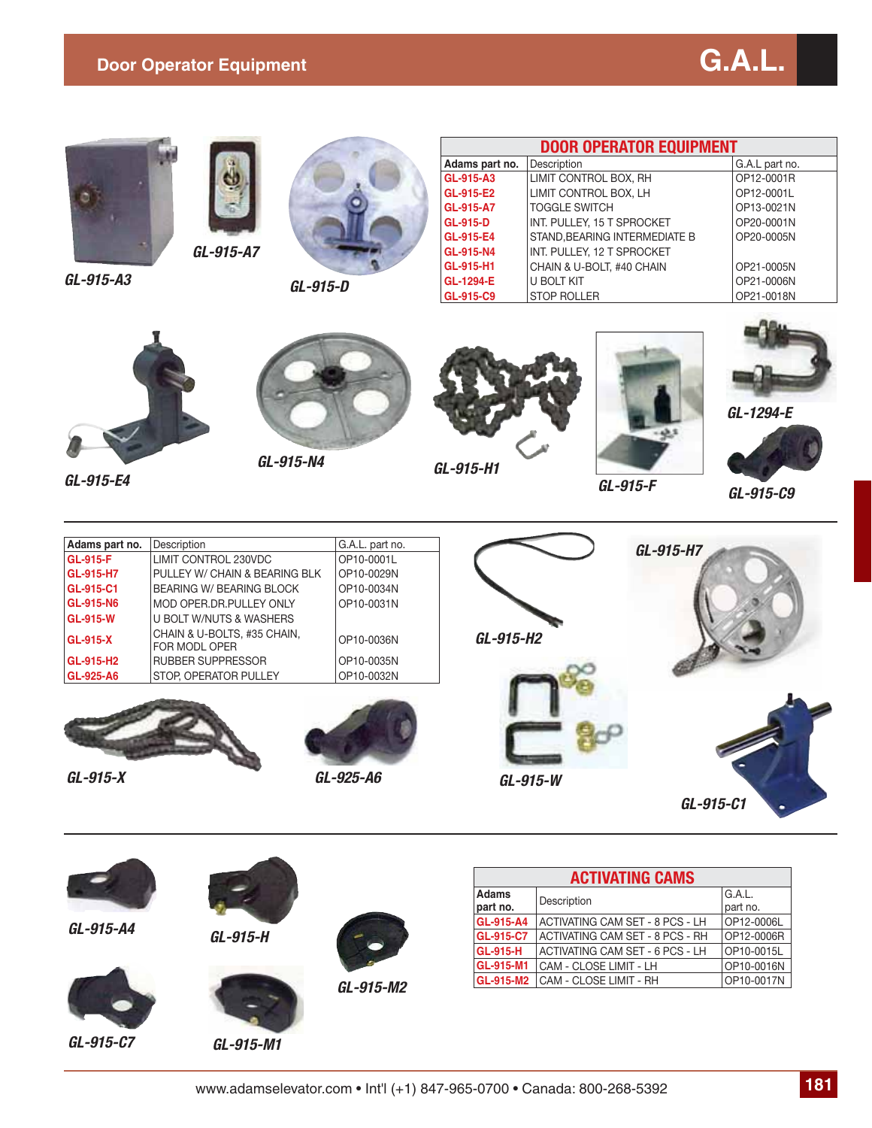#### **Door Operator Equipment** G.A.L.





*GL-915-A3*



*GL-915-A7*



*GL-915-D*

| <b>DOOR OPERATOR EQUIPMENT</b> |                              |                |  |
|--------------------------------|------------------------------|----------------|--|
| Adams part no.                 | Description                  | G.A.L part no. |  |
| GL-915-A3                      | LIMIT CONTROL BOX, RH        | OP12-0001R     |  |
| GL-915-E2                      | LIMIT CONTROL BOX, LH        | OP12-0001L     |  |
| GL-915-A7                      | <b>TOGGLE SWITCH</b>         | OP13-0021N     |  |
| GL-915-D                       | INT. PULLEY, 15 T SPROCKET   | OP20-0001N     |  |
| GL-915-E4                      | STAND.BEARING INTERMEDIATE B | OP20-0005N     |  |
| GL-915-N4                      | INT. PULLEY, 12 T SPROCKET   |                |  |
| GL-915-H1                      | CHAIN & U-BOLT. #40 CHAIN    | OP21-0005N     |  |
| GL-1294-E                      | U BOLT KIT                   | OP21-0006N     |  |
| GL-915-C9                      | <b>STOP ROLLER</b>           | OP21-0018N     |  |



*GL-915-F GL-915-E4*

*GL-915-N4 GL-915-H1*









*GL-1294-E*



*GL-915-C9*



*GL-915-A4*





*GL-915-C7*

*GL-915-M1*

| <b>ACTIVATING CAMS</b>   |                                 |                    |  |
|--------------------------|---------------------------------|--------------------|--|
| <b>Adams</b><br>part no. | Description                     | G.A.L.<br>part no. |  |
| GL-915-A4                | ACTIVATING CAM SET - 8 PCS - LH | OP12-0006L         |  |
| GL-915-C7                | ACTIVATING CAM SET - 8 PCS - RH | OP12-0006R         |  |
| <b>GL-915-H</b>          | ACTIVATING CAM SET - 6 PCS - LH | OP10-0015L         |  |
| GL-915-M1                | CAM - CLOSE LIMIT - LH          | OP10-0016N         |  |
| GL-915-M2                | CAM - CLOSE LIMIT - RH          | OP10-0017N         |  |

 $GL-915-M2$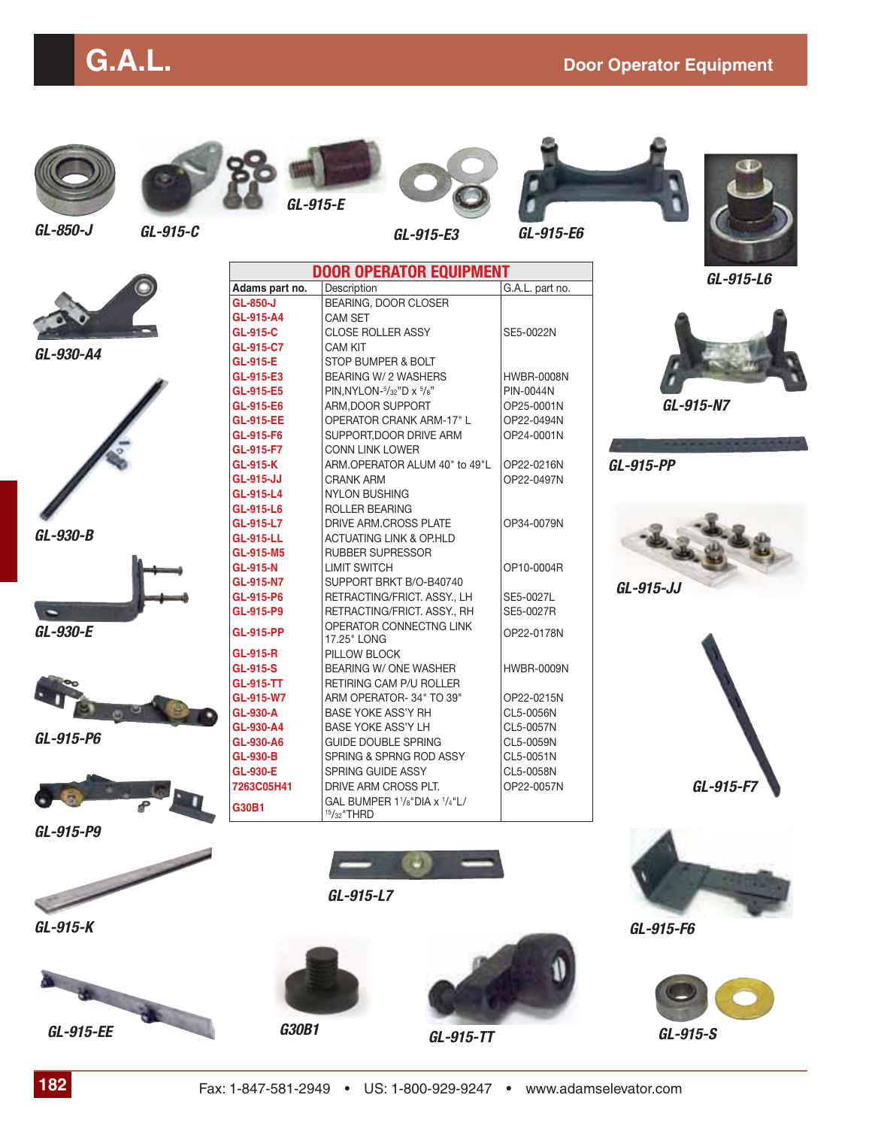

*GL-850-J*



*GL-915-E*

**GL-850-J** BEARING, DOOR CLOSER

**GL-915-E** STOP BUMPER & BOLT

**GL-915-E5** PIN,NYLON-<sup>5</sup>/32"D x <sup>5</sup>

**GL-915-F7** CONN LINK LOWER<br> **GL-915-K** ARM.OPERATOR ALL

**GL-915-L4** NYLON BUSHING<br>**GL-915-L6** ROLLER BEARING

**GL-915-R** PILLOW BLOCK

**GL-915-LL** ACTUATING LINK & OP.HLD **GL-915-M5** RUBBER SUPRESSOR

**GL-915-N7** SUPPORT BRKT B/O-B40740

**GL-915-PP** OPERATOR CONNECTNG LINK

**GL-915-TT** RETIRING CAM P/U ROLLER<br>**GL-915-W7** ARM OPERATOR-34" TO 39"

**GL-915-A4** CAM SET

**GL-915-C7** CAM KIT



SUPPORT,DOOR DRIVE ARM **OP24-0001N** 

RETRACTING/FRICT. ASSY., RH SE5-0027R

OPERATOR CONNECTING LINK | OP22-0178N

**DOOR OPERATOR EQUIPMENT Adams part no.** Description Description Description Description Description Description Description Description

**GL-915-C** CLOSE ROLLER ASSY SE5-0022N

**GL-915-E3** BEARING W/ 2 WASHERS HWBR-0008N

**GL-915-E6** ARM,DOOR SUPPORT OP25-0001N **GL-915-EE** OPERATOR CRANK ARM-17" L OP22-0494N<br>
SUPPORT,DOOR DRIVE ARM OP24-0001N

**GL-915-K** ARM.OPERATOR ALUM 40" to 49"L OP22-0216N<br> **GL-915-JJ** CRANK ARM **CRANGEM GL-915-JJ** CRANK ARM **OP22-0497N**<br> **GL-915-L4** NYLON BUSHING

**GL-915-L7** DRIVE ARM.CROSS PLATE OP34-0079N

**GL-915-N** LIMIT SWITCH **OP10-0004R** 

**GL-915-P6** RETRACTING/FRICT. ASSY., LH SE5-0027L<br>**GL-915-P9** RETRACTING/FRICT. ASSY., RH SE5-0027R

**GL-915-S** BEARING W/ONE WASHER HWBR-0009N

**GL-915-W7** ARM OPERATOR- 34" TO 39" OP22-0215N<br>
BASE YOKE ASS'Y RH CL5-0056N **GL-930-A** BASE YOKE ASS'Y RH CL5-0056N<br> **GL-930-A4** BASE YOKE ASS'Y LH CL5-0057N **BASE YOKE ASS'Y LH GL-930-A6** GUIDE DOUBLE SPRING CL5-0059N **GL-930-B** SPRING & SPRNG ROD ASSY CL5-0051N

**ROLLER BEARING** 

*GL-915-E3 GL-915-C GL-915-E6*

PIN-0044N



*GL-915-L6*



*GL-930-A4*



*GL-930-B*



*GL-930-E*



*GL-915-P6*



*GL-915-P9*

*GL-915-K*

*GL-915-EE*



*GL-915-L7*



*GL-915-TT G30B1*



*GL-915-N7*

*GL-915-PP*







*GL-915-F6*



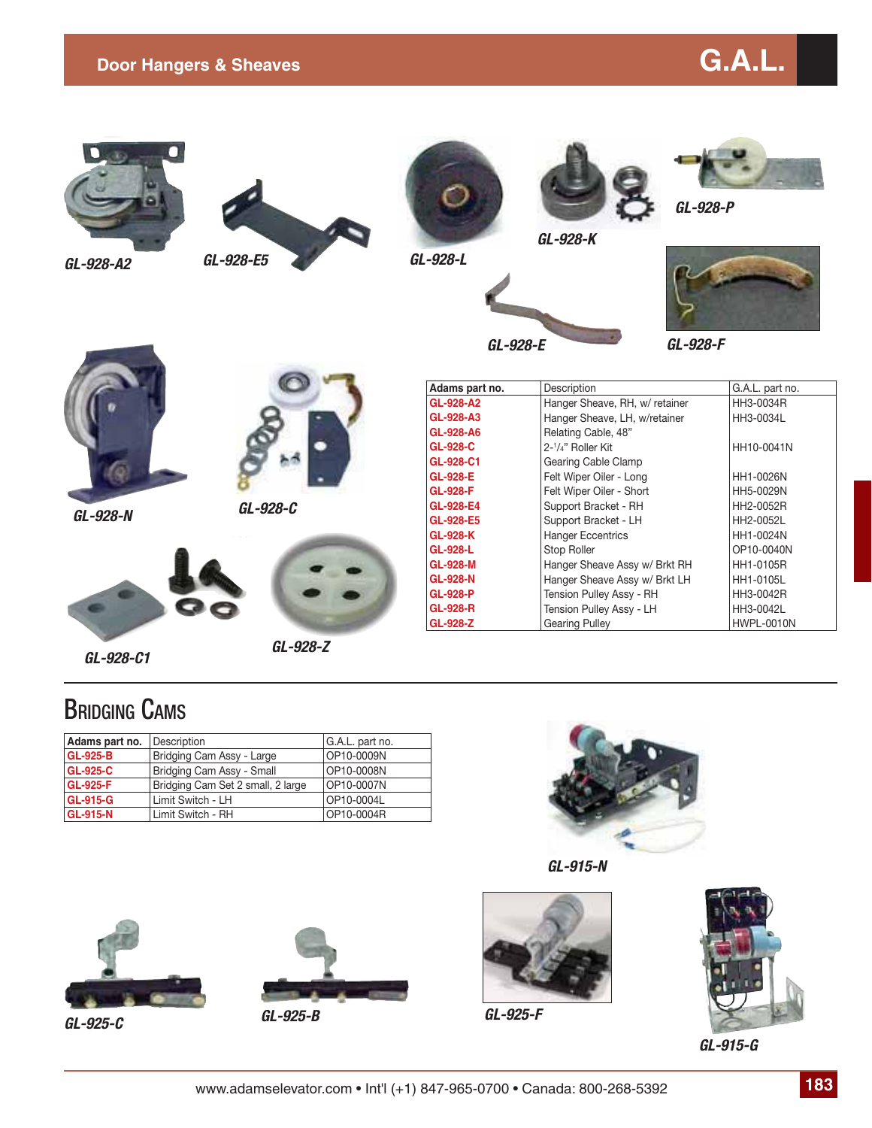

*GL-928-A2*







*GL-928-K*





*GL-928-F*

*GL-928-N*



*GL-928-C*



*GL-928-Z*

| Adams part no.  | Description                    | G.A.L. part no.   |
|-----------------|--------------------------------|-------------------|
| GL-928-A2       | Hanger Sheave, RH, w/ retainer | HH3-0034R         |
| GL-928-A3       | Hanger Sheave, LH, w/retainer  | HH3-0034L         |
| GL-928-A6       | Relating Cable, 48"            |                   |
| GL-928-C        | 2-1/4" Roller Kit              | HH10-0041N        |
| GL-928-C1       | Gearing Cable Clamp            |                   |
| GL-928-E        | Felt Wiper Oiler - Long        | HH1-0026N         |
| GL-928-F        | Felt Wiper Oiler - Short       | HH5-0029N         |
| GL-928-E4       | Support Bracket - RH           | HH2-0052R         |
| GL-928-E5       | Support Bracket - LH           | HH2-0052L         |
| GL-928-K        | <b>Hanger Eccentrics</b>       | HH1-0024N         |
| GL-928-L        | Stop Roller                    | OP10-0040N        |
| <b>GL-928-M</b> | Hanger Sheave Assy w/ Brkt RH  | HH1-0105R         |
| GL-928-N        | Hanger Sheave Assy w/ Brkt LH  | HH1-0105L         |
| <b>GL-928-P</b> | Tension Pulley Assy - RH       | HH3-0042R         |
| <b>GL-928-R</b> | Tension Pulley Assy - LH       | HH3-0042L         |
| GL-928-Z        | <b>Gearing Pulley</b>          | <b>HWPL-0010N</b> |

#### BRIDGING CAMS

*GL-928-C1*

| Adams part no.  | Description                       | G.A.L. part no. |
|-----------------|-----------------------------------|-----------------|
| <b>GL-925-B</b> | Bridging Cam Assy - Large         | OP10-0009N      |
| <b>GL-925-C</b> | Bridging Cam Assy - Small         | OP10-0008N      |
| <b>GL-925-F</b> | Bridging Cam Set 2 small, 2 large | OP10-0007N      |
| <b>GL-915-G</b> | Limit Switch - LH                 | OP10-0004L      |
| <b>GL-915-N</b> | Limit Switch - RH                 | OP10-0004R      |







*GL-925-C GL-925-B GL-925-F*







*GL-915-G*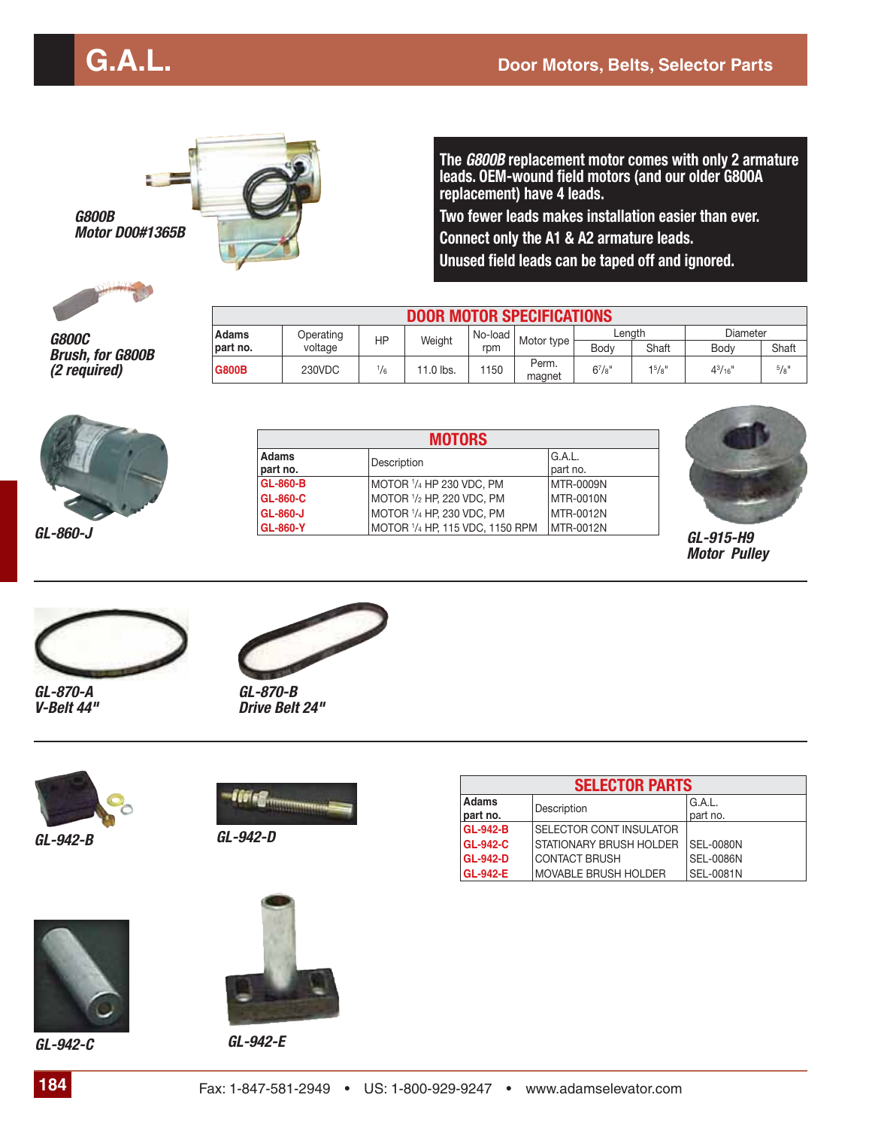

**The** *G800B* **replacement motor comes with only 2 armature leads. OEM-wound field motors (and our older G800A replacement) have 4 leads.**

**Two fewer leads makes installation easier than ever. Connect only the A1 & A2 armature leads. Unused field leads can be taped off and ignored.**

*G800B*

*G800C Brush, for G800B (2 required)*

| <b>DOOR MOTOR SPECIFICATIONS</b> |           |               |           |         |                 |                     |                    |                 |           |       |
|----------------------------------|-----------|---------------|-----------|---------|-----------------|---------------------|--------------------|-----------------|-----------|-------|
| <b>Adams</b>                     | Operating | НP            |           | No-load |                 | Lenath              |                    | Diameter        |           |       |
| part no.                         | voltage   |               | Weight    |         | rpm             | Motor type $\vdash$ | Body               | Shaft           | Body      | Shaft |
| <b>G800B</b>                     | 230VDC    | $\frac{1}{6}$ | 11.0 lbs. | 1150    | Perm.<br>magnet | $6^{7}/s$ "         | 1 <sup>5</sup> /8" | $4^{3}/_{16}$ " | $^{5}/8"$ |       |



|          |                          | <b>MOTORS</b>                   |                    |           |  |  |  |
|----------|--------------------------|---------------------------------|--------------------|-----------|--|--|--|
|          | <b>Adams</b><br>part no. | Description                     | G.A.L.<br>part no. |           |  |  |  |
|          | <b>GL-860-B</b>          | MOTOR 1/4 HP 230 VDC, PM        | MTR-0009N          |           |  |  |  |
|          | <b>GL-860-C</b>          | MOTOR 1/2 HP, 220 VDC, PM       | MTR-0010N          |           |  |  |  |
|          | <b>GL-860-J</b>          | MOTOR 1/4 HP, 230 VDC, PM       | MTR-0012N          |           |  |  |  |
| GL-860-J | <b>GL-860-Y</b>          | MOTOR 1/4 HP, 115 VDC, 1150 RPM | MTR-0012N          | GL-915-H9 |  |  |  |



*Motor Pulley*



*GL-870-A V-Belt 44"*



*GL-870-B Drive Belt 24"*



*GL-942-B*



*GL-942-D*







*GL-942-C GL-942-E*

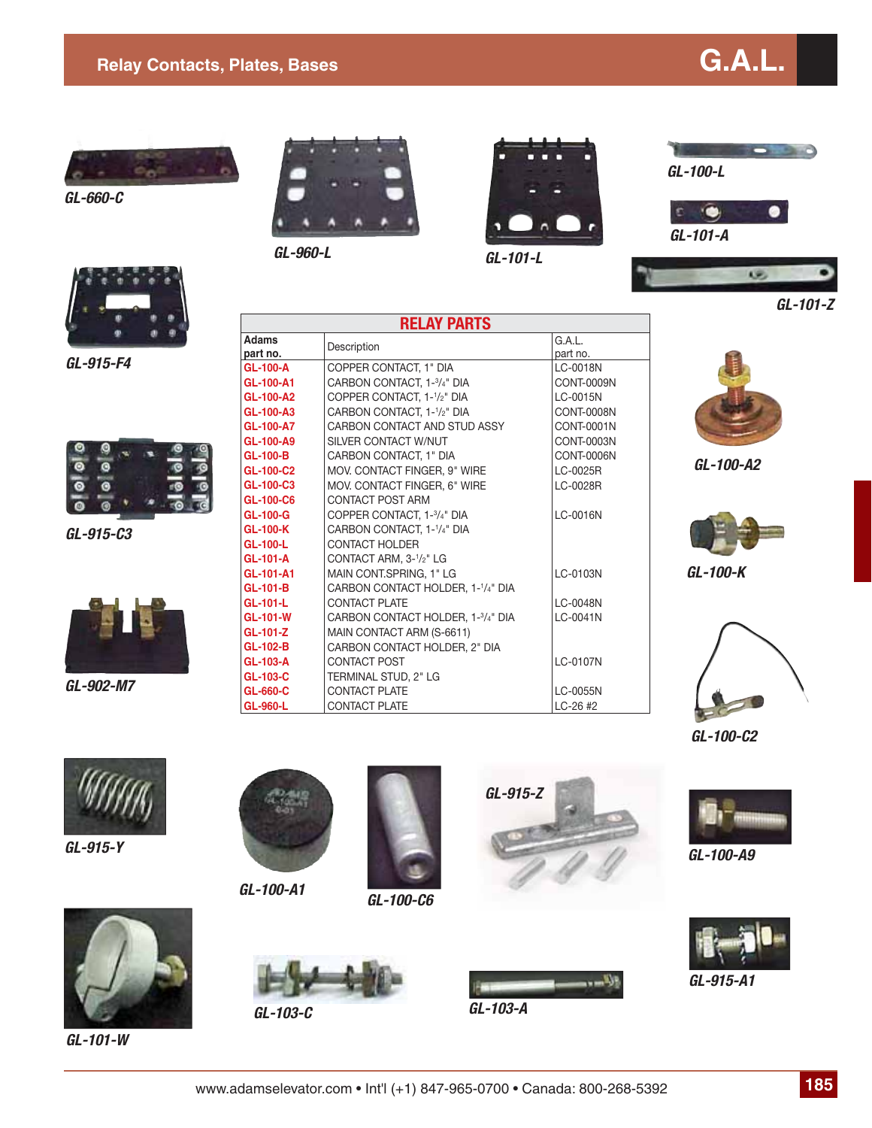#### **Relay Contacts, Plates, Bases G.A.L.**





*GL-660-C*



*GL-960-L*



*GL-101-L*



œ

*GL-101-A*



*GL-915-F4*



*GL-915-C3*



*GL-902-M7*

|                          | <b>RELAY PARTS</b>                                   |                    |  |  |  |  |
|--------------------------|------------------------------------------------------|--------------------|--|--|--|--|
| <b>Adams</b><br>part no. | Description                                          | G.A.L.<br>part no. |  |  |  |  |
| <b>GL-100-A</b>          | COPPER CONTACT, 1" DIA                               | LC-0018N           |  |  |  |  |
| GL-100-A1                | CARBON CONTACT, 1-3/4" DIA                           | CONT-0009N         |  |  |  |  |
| GL-100-A2                | COPPER CONTACT, 1- <sup>1</sup> / <sub>2</sub> " DIA | LC-0015N           |  |  |  |  |
| GL-100-A3                | CARBON CONTACT, 1-1/2" DIA                           | <b>CONT-0008N</b>  |  |  |  |  |
| GL-100-A7                | CARBON CONTACT AND STUD ASSY                         | CONT-0001N         |  |  |  |  |
| GL-100-A9                | SILVER CONTACT W/NUT                                 | CONT-0003N         |  |  |  |  |
| <b>GL-100-B</b>          | CARBON CONTACT, 1" DIA                               | CONT-0006N         |  |  |  |  |
| GL-100-C2                | MOV. CONTACT FINGER, 9" WIRE                         | LC-0025R           |  |  |  |  |
| GL-100-C3                | MOV. CONTACT FINGER, 6" WIRE                         | LC-0028R           |  |  |  |  |
| GL-100-C6                | <b>CONTACT POST ARM</b>                              |                    |  |  |  |  |
| <b>GL-100-G</b>          | COPPER CONTACT, 1-3/4" DIA                           | LC-0016N           |  |  |  |  |
| <b>GL-100-K</b>          | CARBON CONTACT, 1-1/4" DIA                           |                    |  |  |  |  |
| GL-100-L                 | <b>CONTACT HOLDER</b>                                |                    |  |  |  |  |
| <b>GL-101-A</b>          | CONTACT ARM, 3-1/2" LG                               |                    |  |  |  |  |
| GL-101-A1                | MAIN CONT.SPRING, 1" LG                              | LC-0103N           |  |  |  |  |
| <b>GL-101-B</b>          | CARBON CONTACT HOLDER, 1-1/4" DIA                    |                    |  |  |  |  |
| GL-101-L                 | <b>CONTACT PLATE</b>                                 | LC-0048N           |  |  |  |  |
| <b>GL-101-W</b>          | CARBON CONTACT HOLDER, 1-3/4" DIA                    | LC-0041N           |  |  |  |  |
| GL-101-Z                 | MAIN CONTACT ARM (S-6611)                            |                    |  |  |  |  |
| GL-102-B                 | CARBON CONTACT HOLDER, 2" DIA                        |                    |  |  |  |  |
| GL-103-A                 | <b>CONTACT POST</b>                                  | LC-0107N           |  |  |  |  |
| GL-103-C                 | TERMINAL STUD, 2" LG                                 |                    |  |  |  |  |
| GL-660-C                 | <b>CONTACT PLATE</b>                                 | LC-0055N           |  |  |  |  |
| GL-960-L                 | <b>CONTACT PLATE</b>                                 | $LC-26$ #2         |  |  |  |  |



*GL-101-Z*

*GL-100-A2*



*GL-100-K*



*GL-100-C2*



*GL-915-Y*



*GL-100-A1*



*GL-100-C6*





*GL-100-A9*



*GL-915-A1*



*GL-101-W*



*GL-103-C*



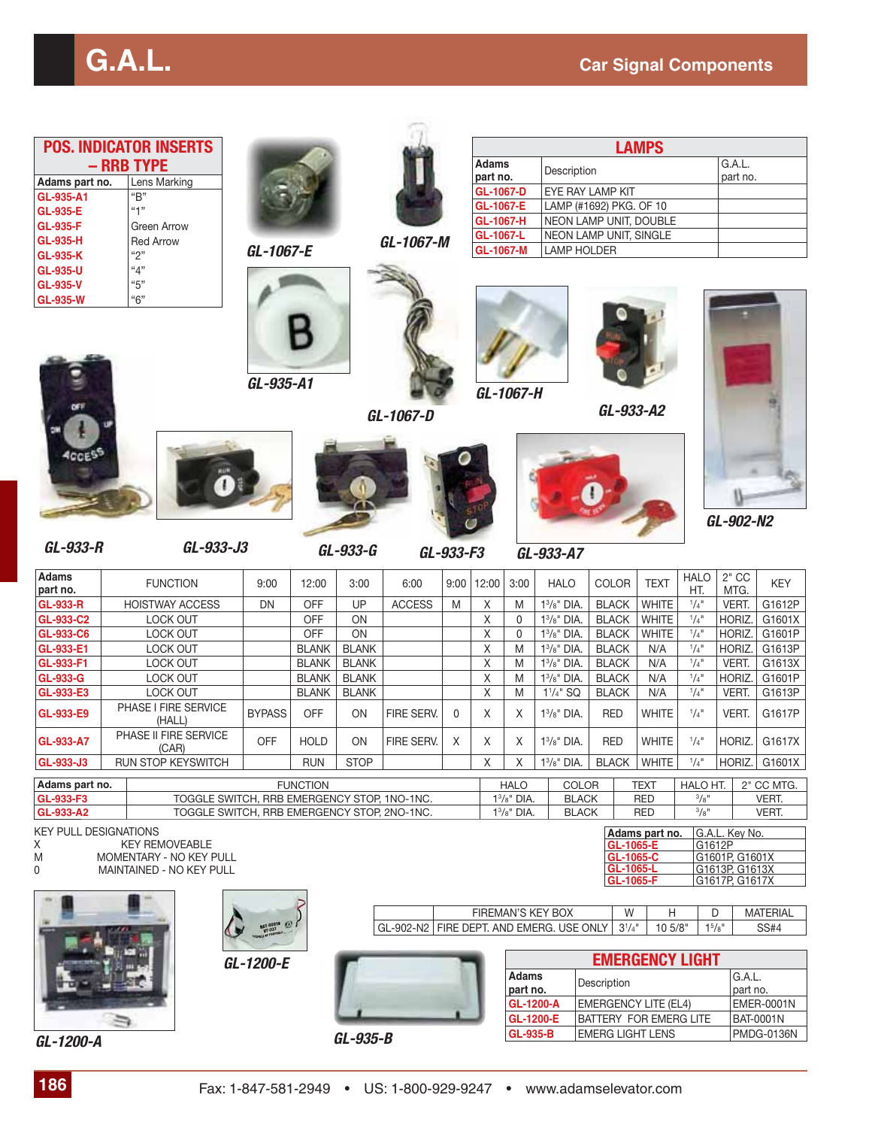|                                             | <b>POS. INDICATOR INSERTS</b>                                                |               |                 |              |                                                                  |              |                        |                              |                                  |                                                  | <b>LAMPS</b>                 |                                 |                                                                                |                                |
|---------------------------------------------|------------------------------------------------------------------------------|---------------|-----------------|--------------|------------------------------------------------------------------|--------------|------------------------|------------------------------|----------------------------------|--------------------------------------------------|------------------------------|---------------------------------|--------------------------------------------------------------------------------|--------------------------------|
|                                             | - RRB TYPE                                                                   |               |                 |              |                                                                  |              | <b>Adams</b>           |                              | Description                      |                                                  |                              |                                 | G.A.L.                                                                         |                                |
| Adams part no.                              | Lens Marking                                                                 |               |                 |              |                                                                  |              | part no.               |                              |                                  |                                                  |                              |                                 | part no.                                                                       |                                |
| GL-935-A1                                   | "B"                                                                          |               |                 |              |                                                                  |              | GL-1067-D<br>GL-1067-E |                              |                                  | EYE RAY LAMP KIT<br>LAMP (#1692) PKG. OF 10      |                              |                                 |                                                                                |                                |
| <b>GL-935-E</b><br><b>GL-935-F</b>          | "1"                                                                          |               |                 |              |                                                                  |              | GL-1067-H              |                              |                                  | NEON LAMP UNIT, DOUBLE                           |                              |                                 |                                                                                |                                |
| <b>GL-935-H</b>                             | Green Arrow<br><b>Red Arrow</b>                                              |               |                 |              | GL-1067-M                                                        |              | GL-1067-L              |                              |                                  | NEON LAMP UNIT, SINGLE                           |                              |                                 |                                                                                |                                |
| <b>GL-935-K</b>                             | "2"                                                                          | GL-1067-E     |                 |              |                                                                  |              | GL-1067-M              |                              | <b>LAMP HOLDER</b>               |                                                  |                              |                                 |                                                                                |                                |
| <b>GL-935-U</b>                             | "4"                                                                          |               |                 |              |                                                                  |              |                        |                              |                                  |                                                  |                              |                                 |                                                                                |                                |
| <b>GL-935-V</b><br><b>GL-935-W</b>          | "5"<br>"6"                                                                   |               |                 |              |                                                                  |              |                        |                              |                                  |                                                  |                              |                                 |                                                                                |                                |
|                                             |                                                                              | GL-935-A1     |                 |              | GL-1067-D                                                        |              |                        | GL-1067-H                    |                                  | GL-933-A2                                        |                              |                                 |                                                                                |                                |
| GL-933-R                                    | GL-933-J3                                                                    |               |                 | GL-933-G     |                                                                  |              |                        |                              |                                  |                                                  |                              |                                 | GL-902-N2                                                                      |                                |
| <b>Adams</b>                                |                                                                              |               |                 |              |                                                                  | GL-933-F3    |                        |                              | GL-933-A7                        |                                                  |                              | <b>HALO</b>                     | $2"$ CC                                                                        |                                |
| part no.                                    | <b>FUNCTION</b>                                                              | 9:00          | 12:00           | 3:00         | 6:00                                                             | 9:00         | 12:00                  | 3:00                         | <b>HALO</b>                      | <b>COLOR</b>                                     | <b>TEXT</b>                  | HT.                             | MTG.                                                                           | <b>KEY</b>                     |
| <b>GL-933-R</b>                             | <b>HOISTWAY ACCESS</b>                                                       | <b>DN</b>     | OFF             | UP           | <b>ACCESS</b>                                                    | M            | $\mathsf X$            | M                            | $1^3/s$ " DIA.                   | <b>BLACK</b>                                     | WHITE                        | $1/4$ <sup>11</sup>             | VERT.                                                                          | G1612P                         |
| GL-933-C2<br>GL-933-C6                      | LOCK OUT<br>LOCK OUT                                                         |               | OFF<br>OFF      | ON<br>ON     |                                                                  |              | Χ<br>Χ                 | 0<br>0                       | $13/8$ " DIA.<br>$1^{3}/8"$ DIA. | <b>BLACK</b><br><b>BLACK</b>                     | <b>WHITE</b><br>WHITE        | 1/4"<br>1/4"                    | HORIZ.<br>HORIZ.                                                               | G1601X<br>G1601P               |
| GL-933-E1                                   | LOCK OUT                                                                     |               | <b>BLANK</b>    | <b>BLANK</b> |                                                                  |              | Χ                      | M                            | $1^3/s$ " DIA.                   | <b>BLACK</b>                                     | N/A                          | $\frac{1}{4}$ <sup>11</sup>     | HORIZ.                                                                         | G1613P                         |
| GL-933-F1                                   | LOCK OUT                                                                     |               | <b>BLANK</b>    | <b>BLANK</b> |                                                                  |              | Χ                      | M                            | $13/8$ " DIA.                    | <b>BLACK</b>                                     | N/A                          | $1/4$ <sup>11</sup>             | VERT.                                                                          | G1613X                         |
| GL-933-G                                    | LOCK OUT                                                                     |               | <b>BLANK</b>    | <b>BLANK</b> |                                                                  |              | Χ                      | M                            | $1^3/s$ " DIA.                   | <b>BLACK</b>                                     | N/A                          | $1/4$ <sup>11</sup>             | HORIZ.                                                                         | G1601P                         |
| GL-933-E3                                   | LOCK OUT<br>PHASE I FIRE SERVICE                                             |               | <b>BLANK</b>    | <b>BLANK</b> |                                                                  |              | Χ                      | M                            | $1^{1}/4"$ SQ                    | <b>BLACK</b>                                     | N/A                          | 1/4"                            | VERT.                                                                          | G1613P                         |
| GL-933-E9                                   | (HALL)<br>PHASE II FIRE SERVICE                                              | <b>BYPASS</b> | <b>OFF</b>      | ON           | FIRE SERV.                                                       | $\mathbf{0}$ | X                      | X                            | $13/8$ " DIA.                    | <b>RED</b>                                       | <b>WHITE</b>                 | $1/4$ <sup>11</sup>             | VERT.                                                                          | G1617P                         |
| GL-933-A7                                   | (CAR)<br>RUN STOP KEYSWITCH                                                  | <b>OFF</b>    | HOLD            | ON           | FIRE SERV.                                                       | X            | $\mathsf X$            | Χ                            | $1^3/s$ " DIA.                   | <b>RED</b><br><b>BLACK</b>                       | <b>WHITE</b><br><b>WHITE</b> | 1/4"<br>$1/4$ <sup>11</sup>     | HORIZ.                                                                         | G1617X                         |
| GL-933-J3                                   |                                                                              |               | <b>RUN</b>      | <b>STOP</b>  |                                                                  |              | X                      | Χ                            | $1^{3}/8$ " DIA.                 |                                                  |                              |                                 | HORIZ.                                                                         | G1601X                         |
| Adams part no.<br>GL-933-F3                 | TOGGLE SWITCH, RRB EMERGENCY STOP, 1NO-1NC.                                  |               | <b>FUNCTION</b> |              |                                                                  |              |                        | <b>HALO</b><br>$13/8ii$ DIA. | COLOR<br><b>BLACK</b>            |                                                  | <b>TEXT</b><br><b>RED</b>    | HALO HT.<br>$3/8$ <sup>11</sup> |                                                                                | 2" CC MTG.<br>VERT.            |
| GL-933-A2                                   | TOGGLE SWITCH, RRB EMERGENCY STOP, 2NO-1NC.                                  |               |                 |              |                                                                  |              |                        | $13/8$ " DIA.                | <b>BLACK</b>                     |                                                  | <b>RED</b>                   | $3/8$ "                         |                                                                                | VERT.                          |
| <b>KEY PULL DESIGNATIONS</b><br>Χ<br>M<br>0 | <b>KEY REMOVEABLE</b><br>MOMENTARY - NO KEY PULL<br>MAINTAINED - NO KEY PULL |               |                 |              |                                                                  |              |                        |                              |                                  | GL-1065-E<br>GL-1065-C<br>GL-1065-L<br>GL-1065-F | Adams part no.               |                                 | G.A.L. Key No.<br>G1612P<br>G1601P, G1601X<br>G1613P, G1613X<br>G1617P, G1617X |                                |
|                                             |                                                                              |               |                 |              | GL-902-N2   FIRE DEPT. AND EMERG. USE ONLY                       |              |                        |                              | FIREMAN'S KEY BOX                | W<br>$3^{1/4}$                                   | Н<br>10 5/8"                 |                                 | D<br>$1^5/8$ "                                                                 | <b>MATERIAL</b><br><b>SS#4</b> |
|                                             |                                                                              | GL-1200-E     |                 |              |                                                                  |              |                        |                              |                                  |                                                  | <b>EMERGENCY LIGHT</b>       |                                 |                                                                                |                                |
|                                             |                                                                              |               |                 |              |                                                                  |              |                        | Adams                        |                                  | Description                                      |                              |                                 | G.A.L.                                                                         |                                |
|                                             |                                                                              |               |                 |              |                                                                  |              |                        | part no.<br><b>GL-1200-A</b> |                                  | <b>EMERGENCY LITE (EL4)</b>                      |                              |                                 | part no.                                                                       | <b>EMER-0001N</b>              |
|                                             |                                                                              |               |                 |              |                                                                  |              |                        | GL-1200-E                    |                                  | BATTERY FOR EMERG LITE                           |                              |                                 |                                                                                | <b>BAT-0001N</b>               |
| GL-1200-A                                   |                                                                              |               |                 | GL-935-B     |                                                                  |              |                        | <b>GL-935-B</b>              |                                  | <b>EMERG LIGHT LENS</b>                          |                              |                                 |                                                                                | <b>PMDG-0136N</b>              |
|                                             |                                                                              |               |                 |              |                                                                  |              |                        |                              |                                  |                                                  |                              |                                 |                                                                                |                                |
| 186                                         |                                                                              |               |                 |              | Fax: 1-847-581-2949 • US: 1-800-929-9247 • www.adamselevator.com |              |                        |                              |                                  |                                                  |                              |                                 |                                                                                |                                |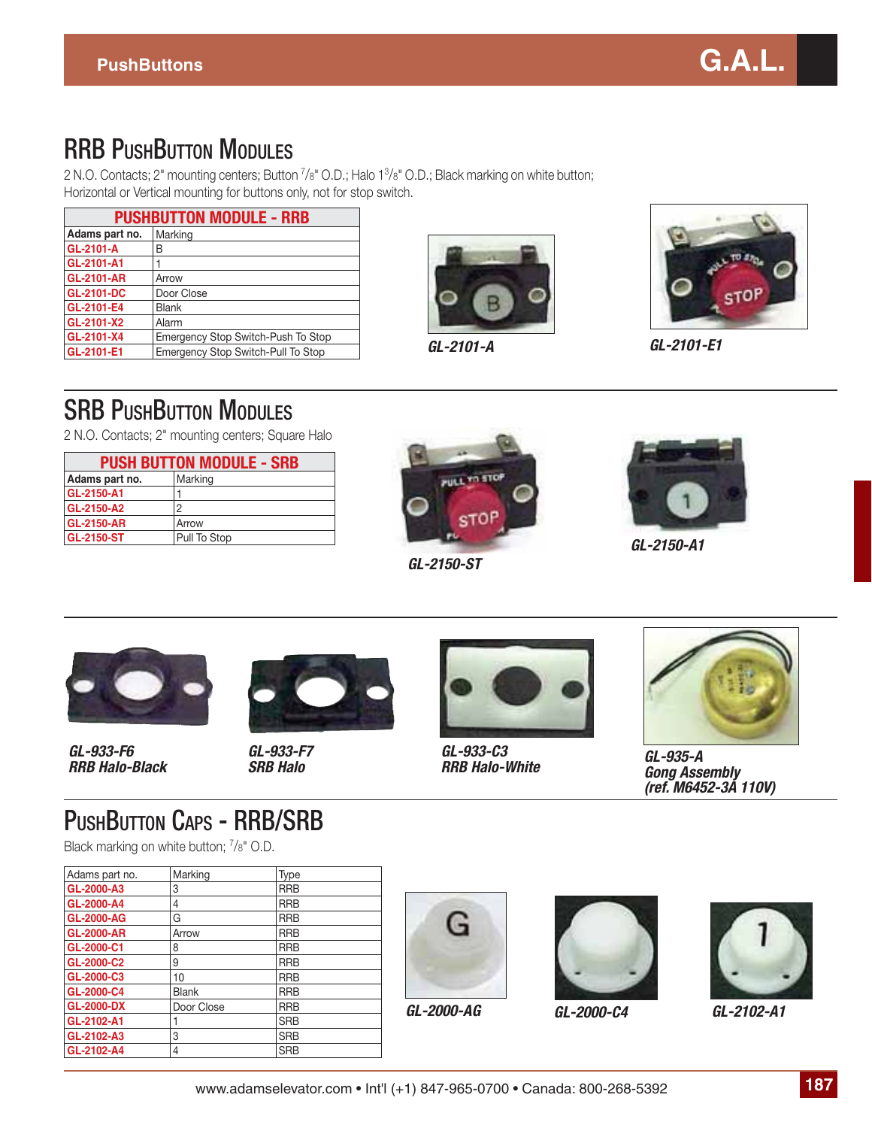

#### **RRB PUSHBUTTON MODULES**

2 N.O. Contacts; 2" mounting centers; Button 7 /8" O.D.; Halo 13 /8" O.D.; Black marking on white button; Horizontal or Vertical mounting for buttons only, not for stop switch.

| <b>PUSHBUTTON MODULE - RRB</b> |                                    |  |  |  |
|--------------------------------|------------------------------------|--|--|--|
| Adams part no.                 | Marking                            |  |  |  |
| <b>GL-2101-A</b>               | B                                  |  |  |  |
| GL-2101-A1                     |                                    |  |  |  |
| <b>GL-2101-AR</b>              | Arrow                              |  |  |  |
| <b>GL-2101-DC</b>              | Door Close                         |  |  |  |
| <b>GL-2101-E4</b>              | <b>Blank</b>                       |  |  |  |
| GL-2101-X2                     | Alarm                              |  |  |  |
| GL-2101-X4                     | Emergency Stop Switch-Push To Stop |  |  |  |
| GL-2101-E1                     | Emergency Stop Switch-Pull To Stop |  |  |  |



*GL-2101-A*



*GL-2101-E1*

#### **SRB PUSHBUTTON MODULES**

2 N.O. Contacts; 2" mounting centers; Square Halo

| <b>PUSH BUTTON MODULE - SRB</b> |              |  |  |  |
|---------------------------------|--------------|--|--|--|
| Adams part no.                  | Marking      |  |  |  |
| GL-2150-A1                      |              |  |  |  |
| <b>GL-2150-A2</b>               | 2            |  |  |  |
| <b>GL-2150-AR</b>               | Arrow        |  |  |  |
| <b>GL-2150-ST</b>               | Pull To Stop |  |  |  |



*GL-2150-ST*



*GL-2150-A1*



*GL-933-F6 RRB Halo-Black*



*GL-933-F7 SRB Halo*



*GL-933-C3 RRB Halo-White*



*GL-935-A Gong Assembly (ref. M6452-3A 110V)*

#### PUSHBUTTON CAPS - RRB/SRB

Black marking on white button; <sup>7</sup>/8" O.D.

| Adams part no.    | Marking      | Type       |
|-------------------|--------------|------------|
| GL-2000-A3        | 3            | <b>RRB</b> |
| GL-2000-A4        | 4            | <b>RRB</b> |
| <b>GL-2000-AG</b> | G            | <b>RRB</b> |
| <b>GL-2000-AR</b> | Arrow        | <b>RRB</b> |
| GL-2000-C1        | 8            | <b>RRB</b> |
| GL-2000-C2        | 9            | <b>RRB</b> |
| GL-2000-C3        | 10           | <b>RRB</b> |
| GL-2000-C4        | <b>Blank</b> | <b>RRB</b> |
| <b>GL-2000-DX</b> | Door Close   | <b>RRB</b> |
| GL-2102-A1        |              | <b>SRB</b> |
| GL-2102-A3        | 3            | <b>SRB</b> |
| GL-2102-A4        | 4            | <b>SRB</b> |







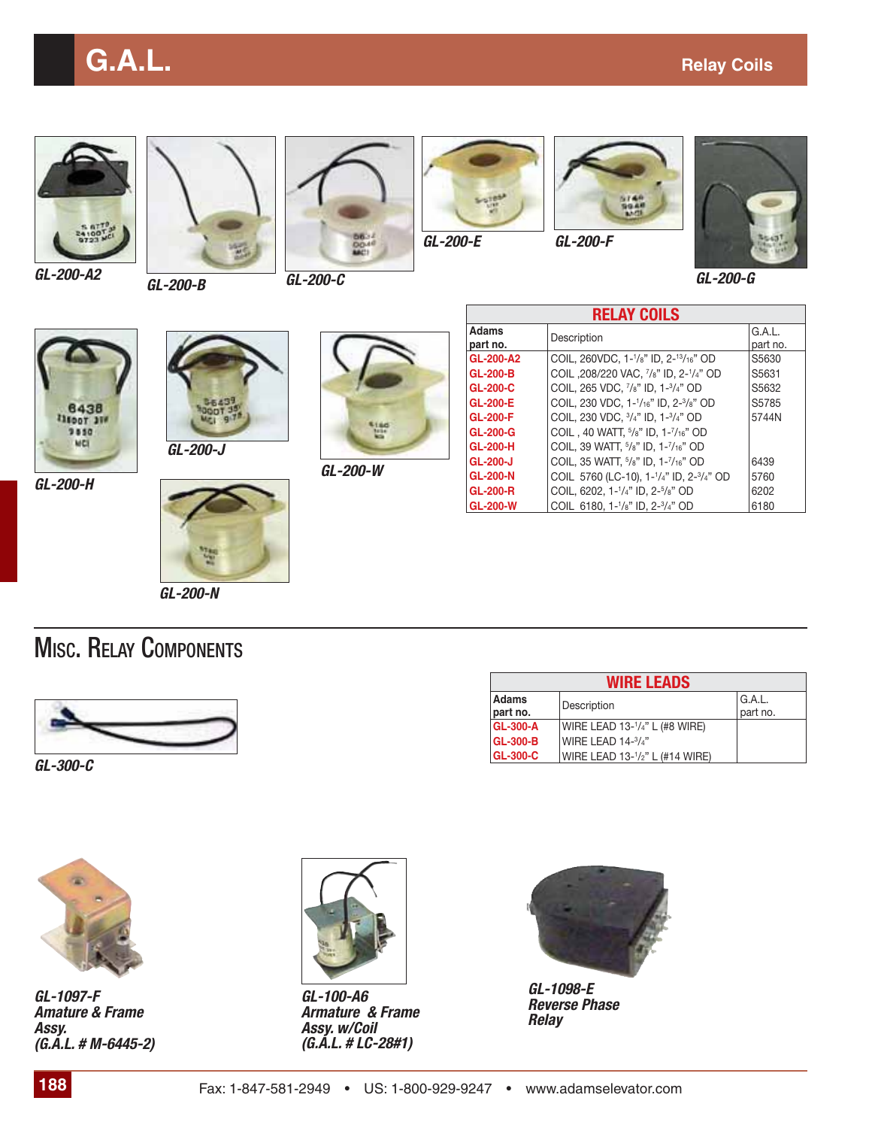## **G.A.L. G.A.L. Relay Coils**









*GL-200-E GL-200-F*





*GL-200-G*









*GL-200-W*

| <b>RELAY COILS</b>       |                                                                                             |                    |  |  |  |  |
|--------------------------|---------------------------------------------------------------------------------------------|--------------------|--|--|--|--|
| <b>Adams</b><br>part no. | Description                                                                                 | G.A.L.<br>part no. |  |  |  |  |
| GL-200-A2                | COIL, 260VDC, 1- <sup>1</sup> /8" ID, 2- <sup>13</sup> /16" OD                              | S5630              |  |  |  |  |
| <b>GL-200-B</b>          | COIL, 208/220 VAC, 7/8" ID, 2-1/4" OD                                                       | S5631              |  |  |  |  |
| <b>GL-200-C</b>          | COIL, 265 VDC, 7/8" ID, 1-3/4" OD                                                           | S5632              |  |  |  |  |
| <b>GL-200-E</b>          | COIL, 230 VDC, 1- <sup>1</sup> /16" ID, 2- <sup>3</sup> /8" OD                              | S5785              |  |  |  |  |
| <b>GL-200-F</b>          | COIL, 230 VDC, $3/4$ " ID, 1- $3/4$ " OD                                                    | 5744N              |  |  |  |  |
| <b>GL-200-G</b>          | COIL, 40 WATT, <sup>5</sup> /8" ID, 1- <sup>7</sup> /16" OD                                 |                    |  |  |  |  |
| <b>GL-200-H</b>          | COIL, 39 WATT, 5/8" ID, 1-7/16" OD                                                          |                    |  |  |  |  |
| GL-200-J                 | COIL, 35 WATT, 5/8" ID, 1-7/16" OD                                                          | 6439               |  |  |  |  |
| <b>GL-200-N</b>          | COIL 5760 (LC-10), 1- <sup>1</sup> / <sub>4</sub> " ID, 2- <sup>3</sup> / <sub>4</sub> " OD | 5760               |  |  |  |  |
| <b>GL-200-R</b>          | COIL, 6202, 1-1/4" ID, 2-5/8" OD                                                            | 6202               |  |  |  |  |
| <b>GL-200-W</b>          | COIL 6180, 1-1/8" ID, 2-3/4" OD                                                             | 6180               |  |  |  |  |

*GL-200-N*

#### MISC. RELAY COMPONENTS



*GL-300-C*





*GL-1097-F Amature & Frame Assy. (G.A.L. # M-6445-2)*



*GL-100-A6 Armature & Frame Assy. w/Coil (G.A.L. # LC-28#1)*



*GL-1098-E Reverse Phase Relay*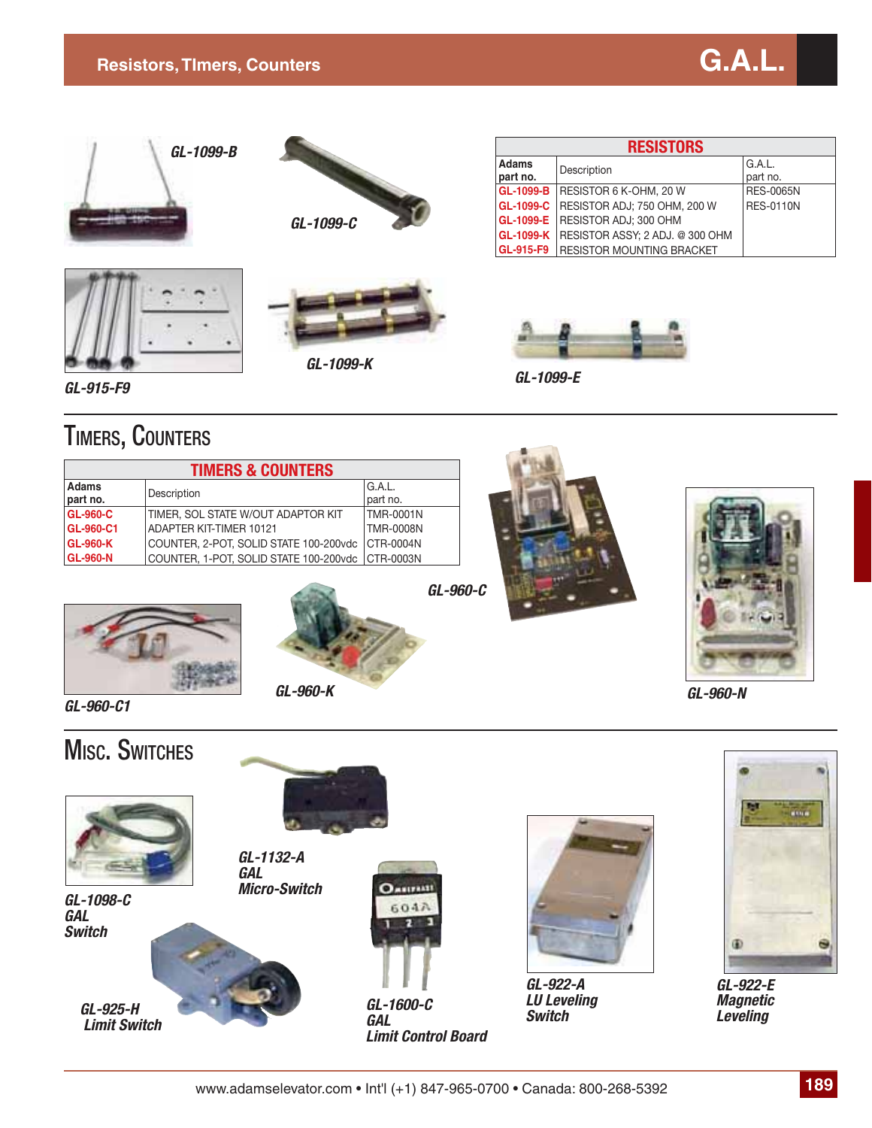

*GL-915-F9*

*GL-960-C1*

#### TIMERS, COUNTERS

| <b>TIMERS &amp; COUNTERS</b> |                                        |                  |  |  |  |
|------------------------------|----------------------------------------|------------------|--|--|--|
| <b>Adams</b>                 | Description                            | G.A.L.           |  |  |  |
| part no.                     |                                        | part no.         |  |  |  |
| <b>GL-960-C</b>              | TIMER. SOL STATE W/OUT ADAPTOR KIT     | TMR-0001N        |  |  |  |
| GL-960-C1                    | ADAPTER KIT-TIMER 10121                | <b>TMR-0008N</b> |  |  |  |
| <b>GL-960-K</b>              | COUNTER, 2-POT, SOLID STATE 100-200vdc | CTR-0004N        |  |  |  |
| <b>GL-960-N</b>              | COUNTER, 1-POT, SOLID STATE 100-200vdc | <b>CTR-0003N</b> |  |  |  |





*GL-960-K GL-960-N*



www.adamselevator.com • Int'l (+1) 847-965-0700 • Canada: 800-268-5392 **189**